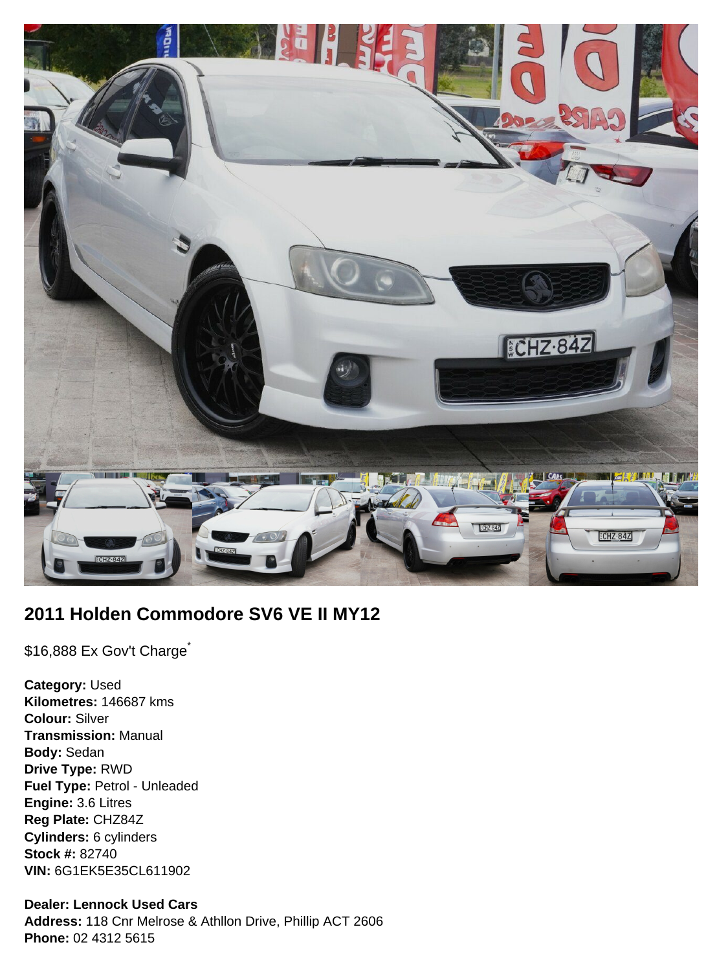

# **2011 Holden Commodore SV6 VE II MY12**

\$16,888 Ex Gov't Charge<sup>\*</sup>

**Category:** Used **Kilometres:** 146687 kms **Colour:** Silver **Transmission:** Manual **Body:** Sedan **Drive Type:** RWD **Fuel Type:** Petrol - Unleaded **Engine:** 3.6 Litres **Reg Plate:** CHZ84Z **Cylinders:** 6 cylinders **Stock #:** 82740 **VIN:** 6G1EK5E35CL611902

## **Dealer: Lennock Used Cars**

**Address:** 118 Cnr Melrose & Athllon Drive, Phillip ACT 2606 **Phone:** 02 4312 5615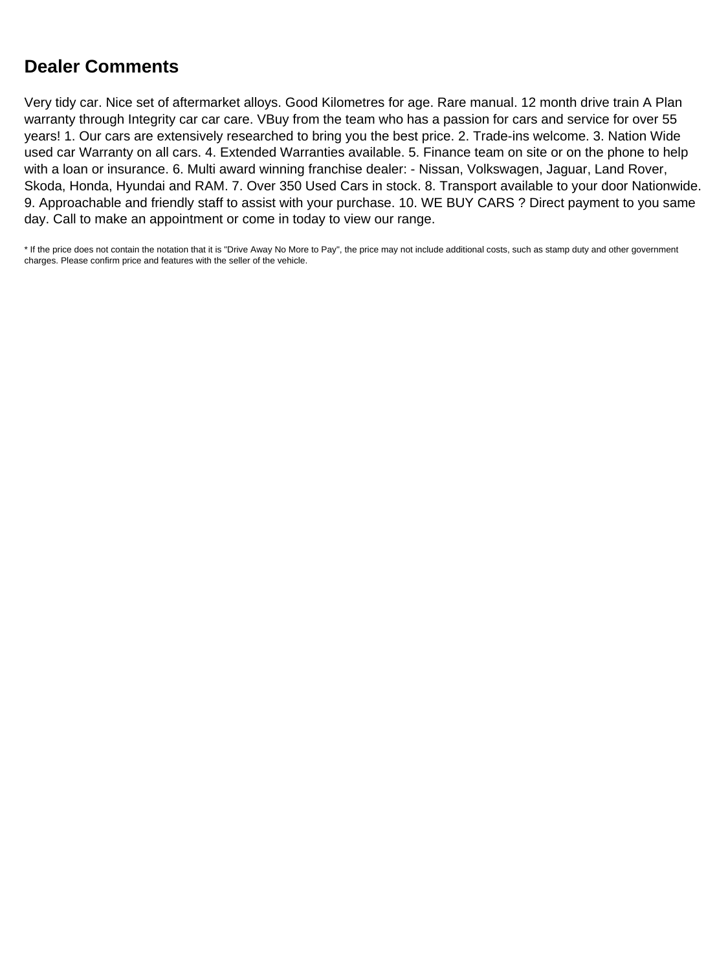# **Dealer Comments**

Very tidy car. Nice set of aftermarket alloys. Good Kilometres for age. Rare manual. 12 month drive train A Plan warranty through Integrity car car care. VBuy from the team who has a passion for cars and service for over 55 years! 1. Our cars are extensively researched to bring you the best price. 2. Trade-ins welcome. 3. Nation Wide used car Warranty on all cars. 4. Extended Warranties available. 5. Finance team on site or on the phone to help with a loan or insurance. 6. Multi award winning franchise dealer: - Nissan, Volkswagen, Jaguar, Land Rover, Skoda, Honda, Hyundai and RAM. 7. Over 350 Used Cars in stock. 8. Transport available to your door Nationwide. 9. Approachable and friendly staff to assist with your purchase. 10. WE BUY CARS ? Direct payment to you same day. Call to make an appointment or come in today to view our range.

\* If the price does not contain the notation that it is "Drive Away No More to Pay", the price may not include additional costs, such as stamp duty and other government charges. Please confirm price and features with the seller of the vehicle.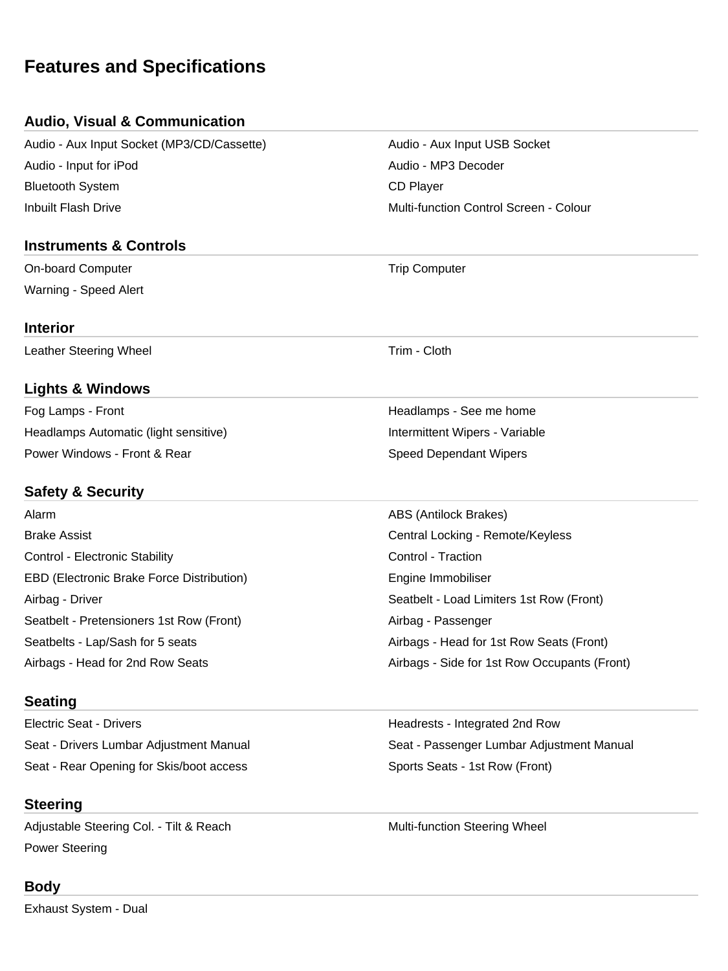# **Features and Specifications**

## **Audio, Visual & Communication**

Audio - Aux Input Socket (MP3/CD/Cassette) Audio - Aux Input USB Socket Audio - Input for iPod Audio - MP3 Decoder Bluetooth System **CD** Player Inbuilt Flash Drive Multi-function Control Screen - Colour

### **Instruments & Controls**

On-board Computer Trip Computer Computer Computer Warning - Speed Alert

#### **Interior**

Leather Steering Wheel **Trim** - Cloth

## **Lights & Windows**

Fog Lamps - Front **Front** Headlamps - See me home **Headlamps** - See me home Headlamps Automatic (light sensitive) **Intermittent Wipers** - Variable Power Windows - Front & Rear Speed Dependant Wipers

## **Safety & Security**

Alarm **ABS (Antilock Brakes)** Brake Assist Central Locking - Remote/Keyless Control - Electronic Stability **Control - Traction** EBD (Electronic Brake Force Distribution) The Engine Immobiliser Airbag - Driver Seatbelt - Load Limiters 1st Row (Front) Seatbelt - Pretensioners 1st Row (Front) Airbag - Passenger Seatbelts - Lap/Sash for 5 seats Airbags - Head for 1st Row Seats (Front)

### **Seating**

Electric Seat - Drivers **Electric Seat - Drivers Headrests - Integrated 2nd Row** Seat - Drivers Lumbar Adjustment Manual Seat - Passenger Lumbar Adjustment Manual Seat - Rear Opening for Skis/boot access Sports Seats - 1st Row (Front)

# **Steering**

Adjustable Steering Col. - Tilt & Reach Multi-function Steering Wheel Power Steering

### **Body**

Exhaust System - Dual

Airbags - Head for 2nd Row Seats Airbags - Side for 1st Row Occupants (Front)